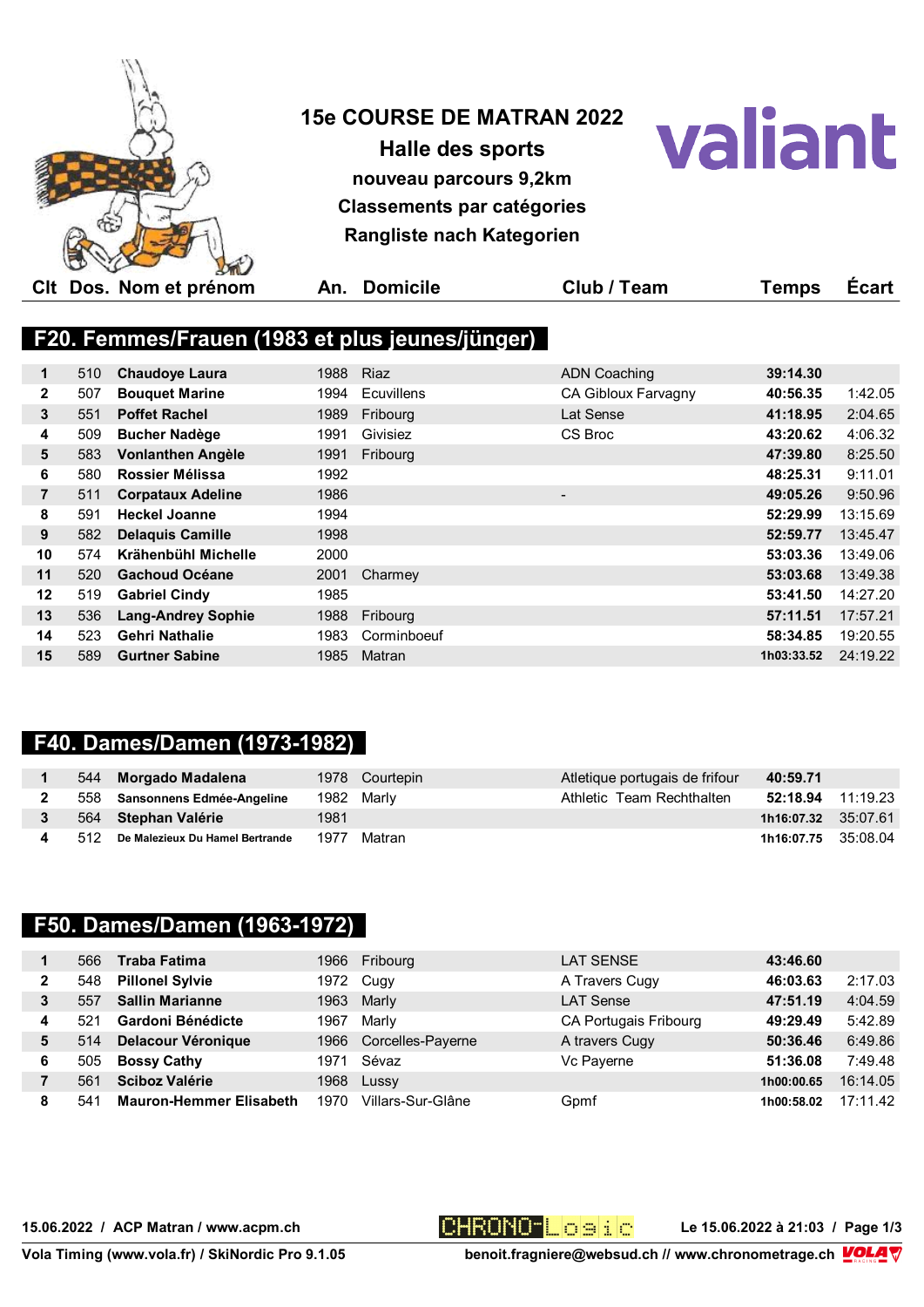

**Halle des sports nouveau parcours 9,2km Classements par catégories Rangliste nach Kategorien**



**Clt Dos. Nom et prénom An. Domicile Club / Team Temps Écart**

## **F20. Femmes/Frauen (1983 et plus jeunes/jünger)**

| 1               | 510 | <b>Chaudoye Laura</b>     | 1988 | <b>Riaz</b> | <b>ADN Coaching</b>      | 39:14.30   |          |
|-----------------|-----|---------------------------|------|-------------|--------------------------|------------|----------|
| $\mathbf{2}$    | 507 | <b>Bouquet Marine</b>     | 1994 | Ecuvillens  | CA Gibloux Farvagny      | 40:56.35   | 1:42.05  |
| 3               | 551 | <b>Poffet Rachel</b>      | 1989 | Fribourg    | Lat Sense                | 41:18.95   | 2:04.65  |
| 4               | 509 | <b>Bucher Nadège</b>      | 1991 | Givisiez    | CS Broc                  | 43:20.62   | 4:06.32  |
| 5               | 583 | Vonlanthen Angèle         | 1991 | Fribourg    |                          | 47:39.80   | 8:25.50  |
| 6               | 580 | Rossier Mélissa           | 1992 |             |                          | 48:25.31   | 9:11.01  |
| 7               | 511 | <b>Corpataux Adeline</b>  | 1986 |             | $\overline{\phantom{a}}$ | 49:05.26   | 9:50.96  |
| 8               | 591 | <b>Heckel Joanne</b>      | 1994 |             |                          | 52:29.99   | 13:15.69 |
| 9               | 582 | <b>Delaquis Camille</b>   | 1998 |             |                          | 52:59.77   | 13:45.47 |
| 10 <sup>1</sup> | 574 | Krähenbühl Michelle       | 2000 |             |                          | 53:03.36   | 13:49.06 |
| 11              | 520 | <b>Gachoud Océane</b>     | 2001 | Charmey     |                          | 53:03.68   | 13:49.38 |
| 12              | 519 | <b>Gabriel Cindy</b>      | 1985 |             |                          | 53:41.50   | 14:27.20 |
| 13              | 536 | <b>Lang-Andrey Sophie</b> | 1988 | Fribourg    |                          | 57:11.51   | 17:57.21 |
| 14              | 523 | <b>Gehri Nathalie</b>     | 1983 | Corminboeuf |                          | 58:34.85   | 19:20.55 |
| 15              | 589 | <b>Gurtner Sabine</b>     | 1985 | Matran      |                          | 1h03:33.52 | 24:19.22 |

### **F40. Dames/Damen (1973-1982)**

|       | 544 Morgado Madalena            |      | 1978 Courtepin | Atletique portugais de frifour | 40:59.71            |          |
|-------|---------------------------------|------|----------------|--------------------------------|---------------------|----------|
|       | 558 Sansonnens Edmée-Angeline   |      | 1982 Marly     | Athletic Team Rechthalten      | 52:18.94            | 11:19.23 |
|       | 564 Stephan Valérie             | 1981 |                |                                | 1h16:07.32 35:07.61 |          |
| - 512 | De Malezieux Du Hamel Bertrande | 1977 | Matran         |                                | 1h16:07.75 35:08.04 |          |

#### **F50. Dames/Damen (1963-1972)**

|   | 566 | Traba Fatima                   | 1966 | Fribourg          | <b>LAT SENSE</b>             | 43:46.60   |          |
|---|-----|--------------------------------|------|-------------------|------------------------------|------------|----------|
| 2 | 548 | <b>Pillonel Sylvie</b>         |      | 1972 Cugy         | A Travers Cugy               | 46:03.63   | 2:17.03  |
| 3 | 557 | <b>Sallin Marianne</b>         | 1963 | Marly             | <b>LAT Sense</b>             | 47:51.19   | 4:04.59  |
| 4 | 521 | Gardoni Bénédicte              | 1967 | Marly             | <b>CA Portugais Fribourg</b> | 49:29.49   | 5:42.89  |
| 5 | 514 | <b>Delacour Véronique</b>      | 1966 | Corcelles-Payerne | A travers Cugy               | 50:36.46   | 6:49.86  |
| 6 | 505 | <b>Bossy Cathy</b>             | 1971 | Sévaz             | Vc Payerne                   | 51:36.08   | 7:49.48  |
|   | 561 | <b>Sciboz Valérie</b>          | 1968 | Lussy             |                              | 1h00:00.65 | 16:14.05 |
| 8 | 54  | <b>Mauron-Hemmer Elisabeth</b> | 1970 | Villars-Sur-Glâne | Gpmf                         | 1h00:58.02 | 17:11.42 |

15.06.2022 / ACP Matran / www.acpm.ch **DHRONO LEG 3 i.** C Le 15.06.2022 à 21:03 / Page 1/3

Vola Timing (www.vola.fr) / SkiNordic Pro 9.1.05 benoit.fragniere@websud.ch // www.chronometrage.ch 【<mark>OLA</mark> V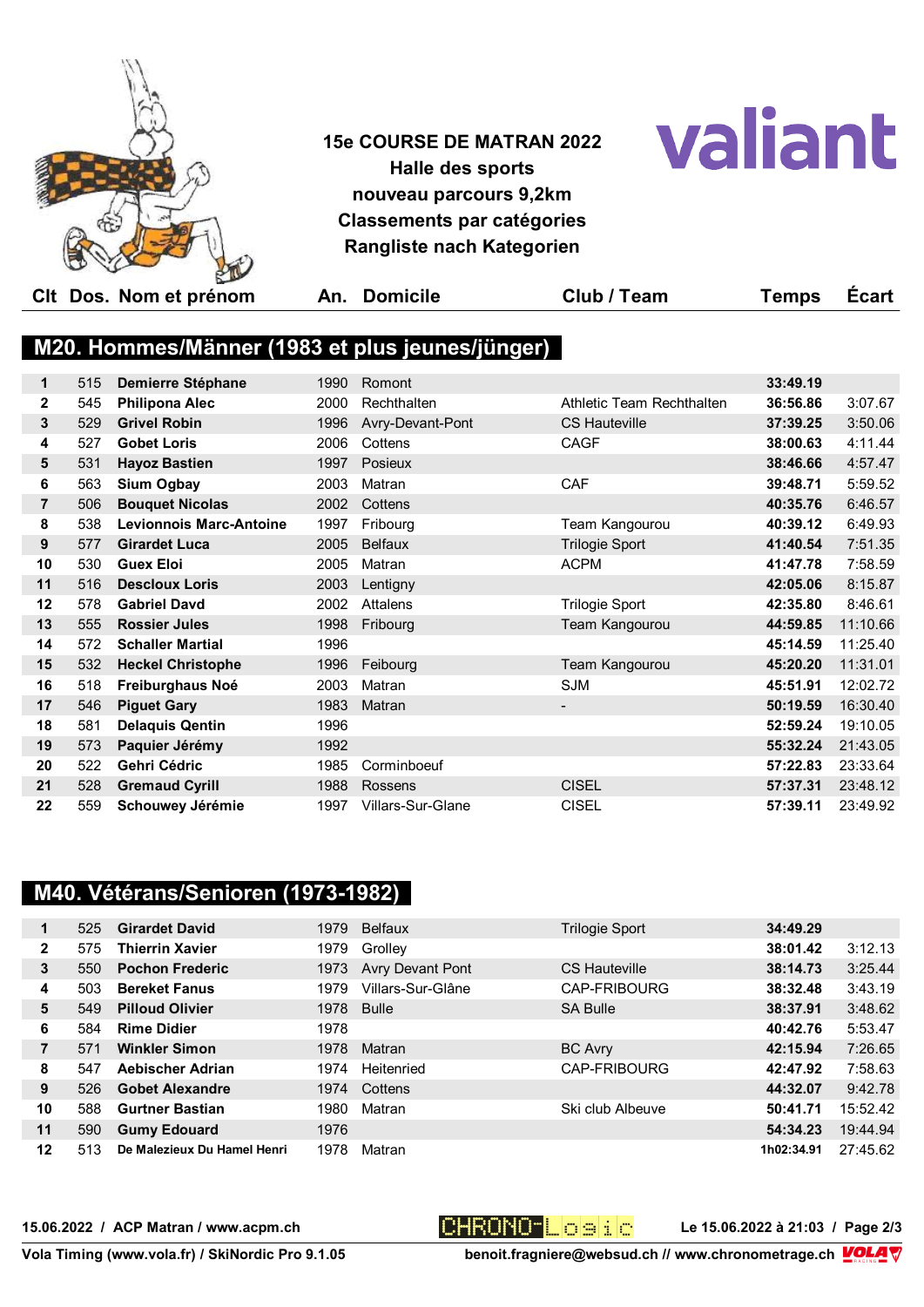

**15e COURSE DE MATRAN 2022 Halle des sports nouveau parcours 9,2km Classements par catégories Rangliste nach Kategorien**



|                |     | CIt Dos. Nom et prénom         | An.  | <b>Domicile</b>                                 | Club / Team               | Temps    | <b>Ecart</b> |
|----------------|-----|--------------------------------|------|-------------------------------------------------|---------------------------|----------|--------------|
|                |     |                                |      |                                                 |                           |          |              |
|                |     |                                |      | M20. Hommes/Männer (1983 et plus jeunes/jünger) |                           |          |              |
|                |     |                                |      |                                                 |                           |          |              |
| 1              | 515 | <b>Demierre Stéphane</b>       | 1990 | Romont                                          |                           | 33:49.19 |              |
| $\mathbf{2}$   | 545 | <b>Philipona Alec</b>          | 2000 | Rechthalten                                     | Athletic Team Rechthalten | 36:56.86 | 3:07.67      |
| 3              | 529 | <b>Grivel Robin</b>            | 1996 | Avry-Devant-Pont                                | <b>CS Hauteville</b>      | 37:39.25 | 3:50.06      |
| 4              | 527 | <b>Gobet Loris</b>             | 2006 | Cottens                                         | <b>CAGF</b>               | 38:00.63 | 4:11.44      |
| 5              | 531 | <b>Hayoz Bastien</b>           | 1997 | Posieux                                         |                           | 38:46.66 | 4:57.47      |
| 6              | 563 | <b>Sium Ogbay</b>              | 2003 | Matran                                          | <b>CAF</b>                | 39:48.71 | 5:59.52      |
| $\overline{7}$ | 506 | <b>Bouquet Nicolas</b>         | 2002 | Cottens                                         |                           | 40:35.76 | 6:46.57      |
| 8              | 538 | <b>Levionnois Marc-Antoine</b> | 1997 | Fribourg                                        | Team Kangourou            | 40:39.12 | 6:49.93      |
| 9              | 577 | <b>Girardet Luca</b>           | 2005 | <b>Belfaux</b>                                  | <b>Trilogie Sport</b>     | 41:40.54 | 7:51.35      |
| 10             | 530 | <b>Guex Eloi</b>               | 2005 | Matran                                          | <b>ACPM</b>               | 41:47.78 | 7:58.59      |
| 11             | 516 | <b>Descloux Loris</b>          | 2003 | Lentigny                                        |                           | 42:05.06 | 8:15.87      |
| 12             | 578 | <b>Gabriel Davd</b>            | 2002 | Attalens                                        | <b>Trilogie Sport</b>     | 42:35.80 | 8:46.61      |
| 13             | 555 | <b>Rossier Jules</b>           | 1998 | Fribourg                                        | Team Kangourou            | 44:59.85 | 11:10.66     |
| 14             | 572 | <b>Schaller Martial</b>        | 1996 |                                                 |                           | 45:14.59 | 11:25.40     |
| 15             | 532 | <b>Heckel Christophe</b>       | 1996 | Feibourg                                        | Team Kangourou            | 45:20.20 | 11:31.01     |
| 16             | 518 | Freiburghaus Noé               | 2003 | Matran                                          | <b>SJM</b>                | 45:51.91 | 12:02.72     |
| 17             | 546 | <b>Piguet Gary</b>             | 1983 | Matran                                          | $\blacksquare$            | 50:19.59 | 16:30.40     |
| 18             | 581 | <b>Delaquis Qentin</b>         | 1996 |                                                 |                           | 52:59.24 | 19:10.05     |
| 19             | 573 | Paquier Jérémy                 | 1992 |                                                 |                           | 55:32.24 | 21:43.05     |
| 20             | 522 | Gehri Cédric                   | 1985 | Corminboeuf                                     |                           | 57:22.83 | 23:33.64     |
| 21             | 528 | <b>Gremaud Cyrill</b>          | 1988 | Rossens                                         | <b>CISEL</b>              | 57:37.31 | 23:48.12     |
| 22             | 559 | Schouwey Jérémie               | 1997 | Villars-Sur-Glane                               | <b>CISEL</b>              | 57:39.11 | 23:49.92     |
|                |     |                                |      |                                                 |                           |          |              |

# **M40. Vétérans/Senioren (1973-1982)**

| 1              | 525 | <b>Girardet David</b>       | 1979 | <b>Belfaux</b>    | Trilogie Sport       | 34:49.29   |          |
|----------------|-----|-----------------------------|------|-------------------|----------------------|------------|----------|
| $\mathbf{2}$   | 575 | <b>Thierrin Xavier</b>      | 1979 | Grolley           |                      | 38:01.42   | 3:12.13  |
| 3              | 550 | <b>Pochon Frederic</b>      | 1973 | Avry Devant Pont  | <b>CS Hauteville</b> | 38:14.73   | 3:25.44  |
| 4              | 503 | <b>Bereket Fanus</b>        | 1979 | Villars-Sur-Glâne | CAP-FRIBOURG         | 38:32.48   | 3:43.19  |
| 5              | 549 | <b>Pilloud Olivier</b>      | 1978 | <b>Bulle</b>      | <b>SA Bulle</b>      | 38:37.91   | 3:48.62  |
| 6              | 584 | <b>Rime Didier</b>          | 1978 |                   |                      | 40:42.76   | 5:53.47  |
| $\overline{7}$ | 571 | <b>Winkler Simon</b>        | 1978 | Matran            | <b>BC Avry</b>       | 42:15.94   | 7:26.65  |
| 8              | 547 | Aebischer Adrian            | 1974 | Heitenried        | CAP-FRIBOURG         | 42:47.92   | 7:58.63  |
| 9              | 526 | <b>Gobet Alexandre</b>      | 1974 | Cottens           |                      | 44:32.07   | 9:42.78  |
| 10             | 588 | <b>Gurtner Bastian</b>      | 1980 | Matran            | Ski club Albeuve     | 50:41.71   | 15:52.42 |
| 11             | 590 | <b>Gumy Edouard</b>         | 1976 |                   |                      | 54:34.23   | 19:44.94 |
| $12 \,$        | 513 | De Malezieux Du Hamel Henri | 1978 | Matran            |                      | 1h02:34.91 | 27:45.62 |

15.06.2022 / ACP Matran / www.acpm.ch **CHRONO LOBE / 2008 2008 21:03 / Page 2/3** 

Vola Timing (www.vola.fr) / SkiNordic Pro 9.1.05 benoit.fragniere@websud.ch // www.chronometrage.ch 【<mark>OLA</mark> V